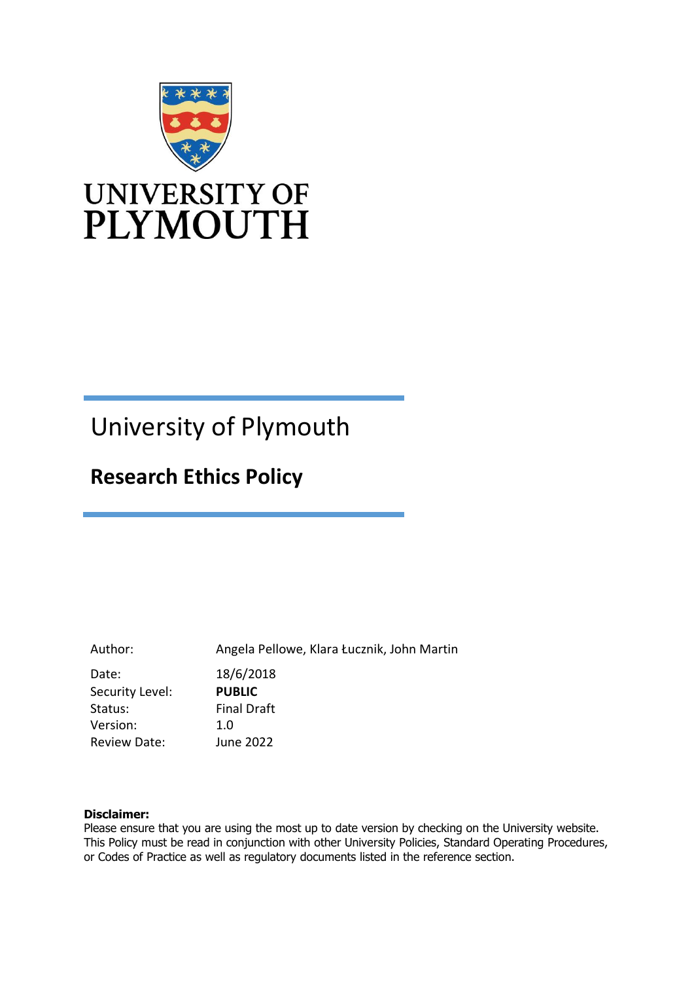

# University of Plymouth

# **Research Ethics Policy**

Author: Angela Pellowe, Klara Łucznik, John Martin Date: 18/6/2018 Security Level: **PUBLIC** Status: Version: Final Draft 1.0 Review Date: June 2022

#### **Disclaimer:**

Please ensure that you are using the most up to date version by checking on the University website. This Policy must be read in conjunction with other University Policies, Standard Operating Procedures, or Codes of Practice as well as regulatory documents listed in the reference section.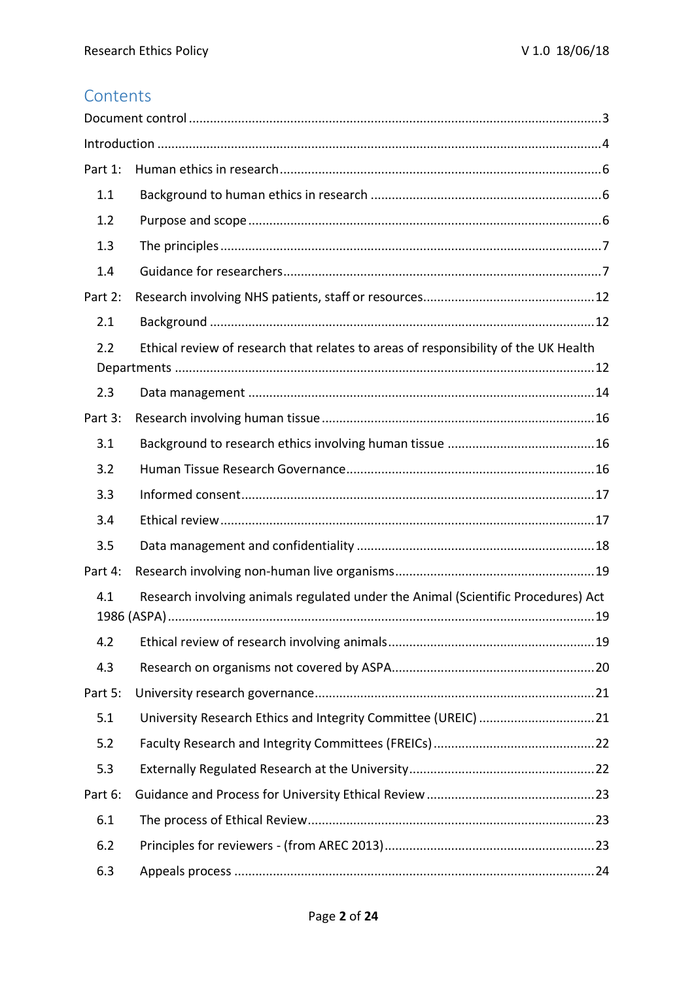# **Contents**

| Part 1:                                                                                    |  |  |
|--------------------------------------------------------------------------------------------|--|--|
| 1.1                                                                                        |  |  |
| 1.2                                                                                        |  |  |
| 1.3                                                                                        |  |  |
| 1.4                                                                                        |  |  |
| Part 2:                                                                                    |  |  |
| 2.1                                                                                        |  |  |
| Ethical review of research that relates to areas of responsibility of the UK Health<br>2.2 |  |  |
| 2.3                                                                                        |  |  |
| Part 3:                                                                                    |  |  |
| 3.1                                                                                        |  |  |
| 3.2                                                                                        |  |  |
| 3.3                                                                                        |  |  |
| 3.4                                                                                        |  |  |
| 3.5                                                                                        |  |  |
| Part 4:                                                                                    |  |  |
| Research involving animals regulated under the Animal (Scientific Procedures) Act<br>4.1   |  |  |
| 4.2                                                                                        |  |  |
| 4.3                                                                                        |  |  |
| Part 5:                                                                                    |  |  |
| 5.1                                                                                        |  |  |
| 5.2                                                                                        |  |  |
| 5.3                                                                                        |  |  |
| Part 6:                                                                                    |  |  |
| 6.1                                                                                        |  |  |
| 6.2                                                                                        |  |  |
| 6.3                                                                                        |  |  |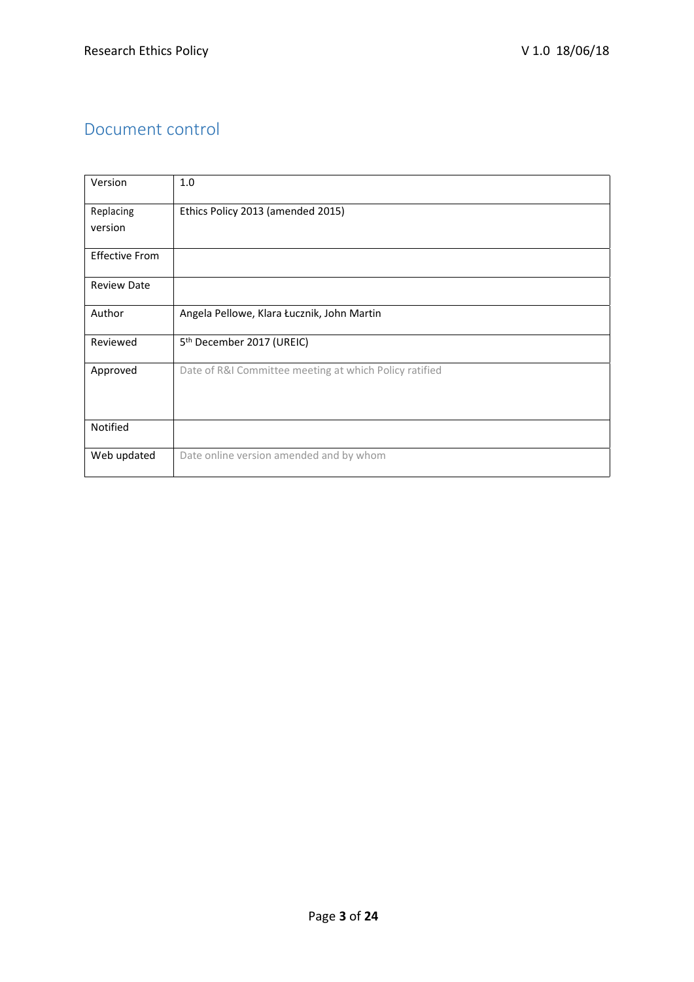### Document control

| Version               | 1.0                                                    |
|-----------------------|--------------------------------------------------------|
| Replacing             | Ethics Policy 2013 (amended 2015)                      |
| version               |                                                        |
| <b>Effective From</b> |                                                        |
| <b>Review Date</b>    |                                                        |
| Author                | Angela Pellowe, Klara Łucznik, John Martin             |
| Reviewed              | 5 <sup>th</sup> December 2017 (UREIC)                  |
| Approved              | Date of R&I Committee meeting at which Policy ratified |
| Notified              |                                                        |
| Web updated           | Date online version amended and by whom                |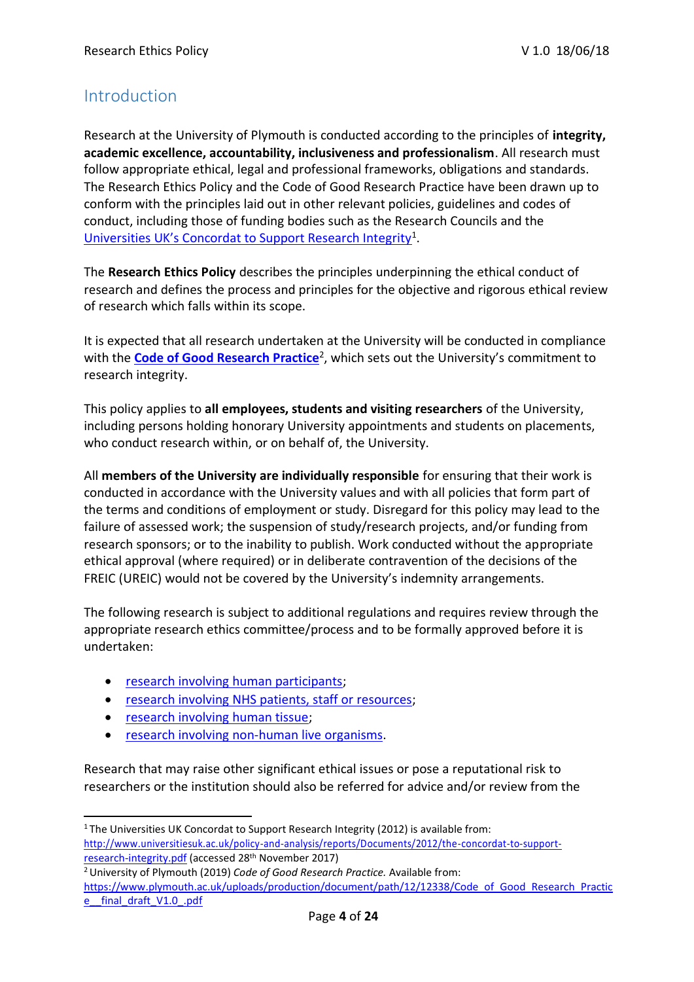### Introduction

Research at the University of Plymouth is conducted according to the principles of **integrity, academic excellence, accountability, inclusiveness and professionalism**. All research must follow appropriate ethical, legal and professional frameworks, obligations and standards. The Research Ethics Policy and the Code of Good Research Practice have been drawn up to conform with the principles laid out in other relevant policies, guidelines and codes of conduct, including those of funding bodies such as the Research Councils and the [Universities UK's Concordat to Support Research Integrity](http://www.universitiesuk.ac.uk/policy-and-analysis/reports/Documents/2012/the-concordat-to-support-research-integrity.pdf)<sup>1</sup>.

The **Research Ethics Policy** describes the principles underpinning the ethical conduct of research and defines the process and principles for the objective and rigorous ethical review of research which falls within its scope.

It is expected that all research undertaken at the University will be conducted in compliance with the **[Code of Good Research Practice](https://www.plymouth.ac.uk/uploads/production/document/path/12/12338/Code_of_Good_Research_Practice__final_draft_V1.0_.pdf)**<sup>2</sup>, which sets out the University's commitment to research integrity.

This policy applies to **all employees, students and visiting researchers** of the University, including persons holding honorary University appointments and students on placements, who conduct research within, or on behalf of, the University.

All **members of the University are individually responsible** for ensuring that their work is conducted in accordance with the University values and with all policies that form part of the terms and conditions of employment or study. Disregard for this policy may lead to the failure of assessed work; the suspension of study/research projects, and/or funding from research sponsors; or to the inability to publish. Work conducted without the appropriate ethical approval (where required) or in deliberate contravention of the decisions of the FREIC (UREIC) would not be covered by the University's indemnity arrangements.

The following research is subject to additional regulations and requires review through the appropriate research ethics committee/process and to be formally approved before it is undertaken:

- research involving human participants;
- research involving NHS patients, staff or resources;
- research involving human tissue;
- research involving non-human live organisms.

Research that may raise other significant ethical issues or pose a reputational risk to researchers or the institution should also be referred for advice and/or review from the

<sup>2</sup>University of Plymouth (2019) *Code of Good Research Practice.* Available from: [https://www.plymouth.ac.uk/uploads/production/document/path/12/12338/Code\\_of\\_Good\\_Research\\_Practic](https://www.plymouth.ac.uk/uploads/production/document/path/12/12338/Code_of_Good_Research_Practice__final_draft_V1.0_.pdf) e final\_draft\_V1.0\_.pdf

<sup>&</sup>lt;sup>1</sup>The Universities UK Concordat to Support Research Integrity (2012) is available from: [http://www.universitiesuk.ac.uk/policy-and-analysis/reports/Documents/2012/the-concordat-to-support](http://www.universitiesuk.ac.uk/policy-and-analysis/reports/Documents/2012/the-concordat-to-support-research-integrity.pdf)[research-integrity.pdf](http://www.universitiesuk.ac.uk/policy-and-analysis/reports/Documents/2012/the-concordat-to-support-research-integrity.pdf) (accessed 28th November 2017)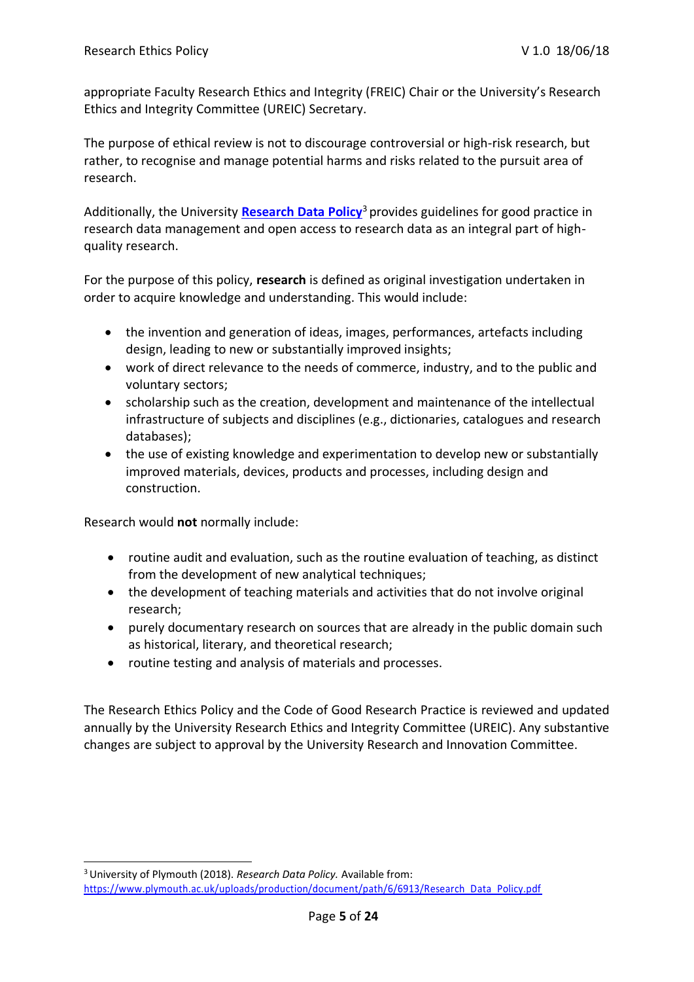appropriate Faculty Research Ethics and Integrity (FREIC) Chair or the University's Research Ethics and Integrity Committee (UREIC) Secretary.

The purpose of ethical review is not to discourage controversial or high-risk research, but rather, to recognise and manage potential harms and risks related to the pursuit area of research.

Additionally, the University **[Research Data Policy](https://www.plymouth.ac.uk/uploads/production/document/path/6/6913/Research_Data_Policy.pdf)**<sup>3</sup>provides guidelines for good practice in research data management and open access to research data as an integral part of highquality research.

For the purpose of this policy, **research** is defined as original investigation undertaken in order to acquire knowledge and understanding. This would include:

- the invention and generation of ideas, images, performances, artefacts including design, leading to new or substantially improved insights;
- work of direct relevance to the needs of commerce, industry, and to the public and voluntary sectors;
- scholarship such as the creation, development and maintenance of the intellectual infrastructure of subjects and disciplines (e.g., dictionaries, catalogues and research databases);
- the use of existing knowledge and experimentation to develop new or substantially improved materials, devices, products and processes, including design and construction.

Research would **not** normally include:

- routine audit and evaluation, such as the routine evaluation of teaching, as distinct from the development of new analytical techniques;
- the development of teaching materials and activities that do not involve original research;
- purely documentary research on sources that are already in the public domain such as historical, literary, and theoretical research;
- routine testing and analysis of materials and processes.

The Research Ethics Policy and the Code of Good Research Practice is reviewed and updated annually by the University Research Ethics and Integrity Committee (UREIC). Any substantive changes are subject to approval by the University Research and Innovation Committee.

<sup>3</sup>University of Plymouth (2018). *Research Data Policy.* Available from: [https://www.plymouth.ac.uk/uploads/production/document/path/6/6913/Research\\_Data\\_Policy.pdf](https://www.plymouth.ac.uk/uploads/production/document/path/6/6913/Research_Data_Policy.pdf)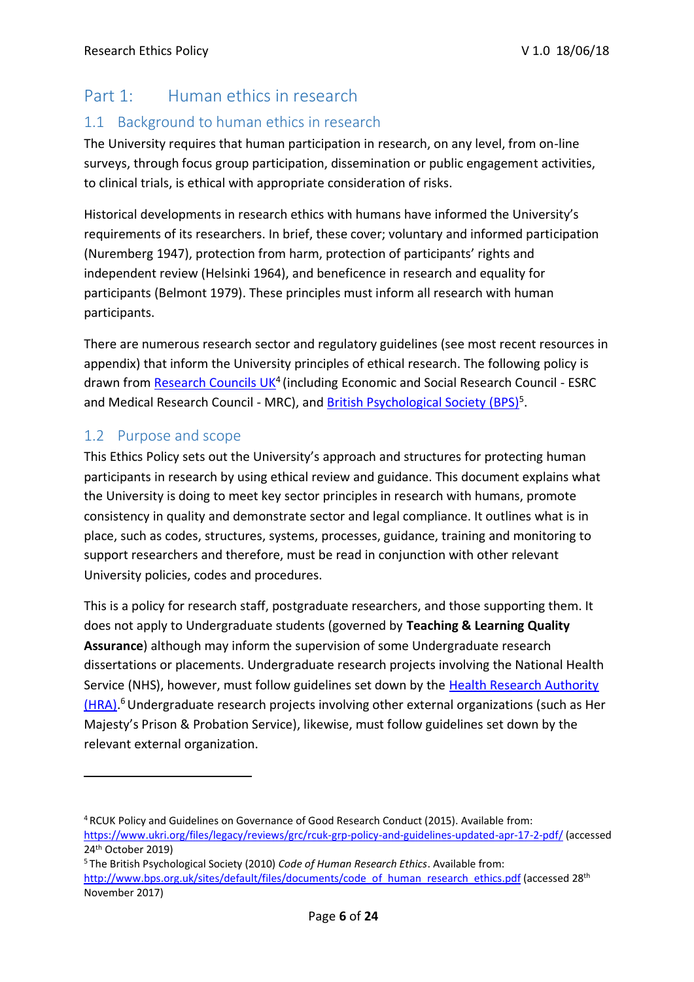# Part 1: Human ethics in research

### 1.1 Background to human ethics in research

The University requires that human participation in research, on any level, from on-line surveys, through focus group participation, dissemination or public engagement activities, to clinical trials, is ethical with appropriate consideration of risks.

Historical developments in research ethics with humans have informed the University's requirements of its researchers. In brief, these cover; voluntary and informed participation (Nuremberg 1947), protection from harm, protection of participants' rights and independent review (Helsinki 1964), and beneficence in research and equality for participants (Belmont 1979). These principles must inform all research with human participants.

There are numerous research sector and regulatory guidelines (see most recent resources in appendix) that inform the University principles of ethical research. The following policy is drawn from [Research Councils UK](https://www.ukri.org/files/legacy/reviews/grc/rcuk-grp-policy-and-guidelines-updated-apr-17-2-pdf/)<sup>4</sup> (including Economic and Social Research Council - ESRC and Medical Research Council - MRC), and **British Psychological Society (BPS)**<sup>5</sup>.

### 1.2 Purpose and scope

This Ethics Policy sets out the University's approach and structures for protecting human participants in research by using ethical review and guidance. This document explains what the University is doing to meet key sector principles in research with humans, promote consistency in quality and demonstrate sector and legal compliance. It outlines what is in place, such as codes, structures, systems, processes, guidance, training and monitoring to support researchers and therefore, must be read in conjunction with other relevant University policies, codes and procedures.

This is a policy for research staff, postgraduate researchers, and those supporting them. It does not apply to Undergraduate students (governed by **Teaching & Learning Quality Assurance**) although may inform the supervision of some Undergraduate research dissertations or placements. Undergraduate research projects involving the National Health Service (NHS), however, must follow guidelines set down by the [Health Research Authority](https://www.hra.nhs.uk/planning-and-improving-research/policies-standards-legislation/uk-policy-framework-health-social-care-research) [\(HRA\).](https://www.hra.nhs.uk/planning-and-improving-research/policies-standards-legislation/uk-policy-framework-health-social-care-research)<sup>6</sup> Undergraduate research projects involving other external organizations (such as Her Majesty's Prison & Probation Service), likewise, must follow guidelines set down by the relevant external organization.

<sup>4</sup>RCUK Policy and Guidelines on Governance of Good Research Conduct (2015). Available from[:](http://www.rcuk.ac.uk/publications/researchers/grc/) 

<https://www.ukri.org/files/legacy/reviews/grc/rcuk-grp-policy-and-guidelines-updated-apr-17-2-pdf/> (accessed 24 th October 2019)

<sup>5</sup>The British Psychological Society (2010) *Code of Human Research Ethics*. Available from:

[http://www.bps.org.uk/sites/default/files/documents/code\\_of\\_human\\_research\\_ethics.pdf](http://www.bps.org.uk/sites/default/files/documents/code_of_human_research_ethics.pdf) (accessed 28th November 2017)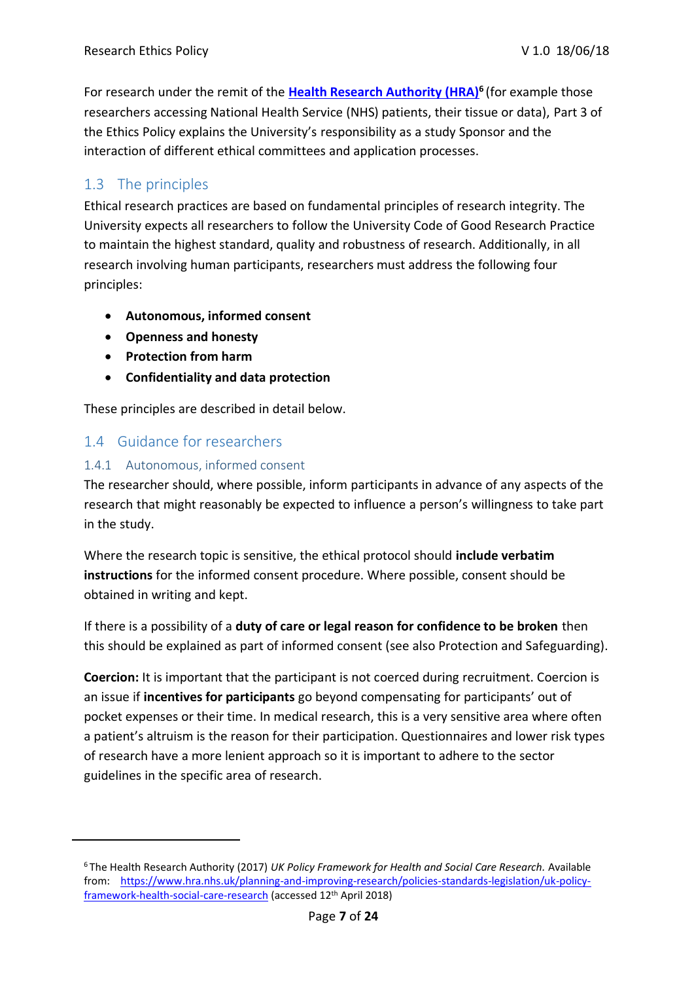For research under the remit of the **[Health Research Authority \(HRA\)](https://www.hra.nhs.uk/planning-and-improving-research/policies-standards-legislation/uk-policy-framework-health-social-care-research)<sup>6</sup>**(for example those researchers accessing National Health Service (NHS) patients, their tissue or data), Part 3 of the Ethics Policy explains the University's responsibility as a study Sponsor and the interaction of different ethical committees and application processes.

### 1.3 The principles

Ethical research practices are based on fundamental principles of research integrity. The University expects all researchers to follow the University Code of Good Research Practice to maintain the highest standard, quality and robustness of research. Additionally, in all research involving human participants, researchers must address the following four principles:

- **Autonomous, informed consent**
- **Openness and honesty**
- **Protection from harm**
- **Confidentiality and data protection**

These principles are described in detail below.

### 1.4 Guidance for researchers

#### 1.4.1 Autonomous, informed consent

The researcher should, where possible, inform participants in advance of any aspects of the research that might reasonably be expected to influence a person's willingness to take part in the study.

Where the research topic is sensitive, the ethical protocol should **include verbatim instructions** for the informed consent procedure. Where possible, consent should be obtained in writing and kept.

If there is a possibility of a **duty of care or legal reason for confidence to be broken** then this should be explained as part of informed consent (see also Protection and Safeguarding).

**Coercion:** It is important that the participant is not coerced during recruitment. Coercion is an issue if **incentives for participants** go beyond compensating for participants' out of pocket expenses or their time. In medical research, this is a very sensitive area where often a patient's altruism is the reason for their participation. Questionnaires and lower risk types of research have a more lenient approach so it is important to adhere to the sector guidelines in the specific area of research.

<sup>6</sup>The Health Research Authority (2017) *UK Policy Framework for Health and Social Care Research.* Available from: [https://www.hra.nhs.uk/planning-and-improving-research/policies-standards-legislation/uk-policy](https://www.hra.nhs.uk/planning-and-improving-research/policies-standards-legislation/uk-policy-framework-health-social-care-research)[framework-health-social-care-research](https://www.hra.nhs.uk/planning-and-improving-research/policies-standards-legislation/uk-policy-framework-health-social-care-research) (accessed 12th April 2018)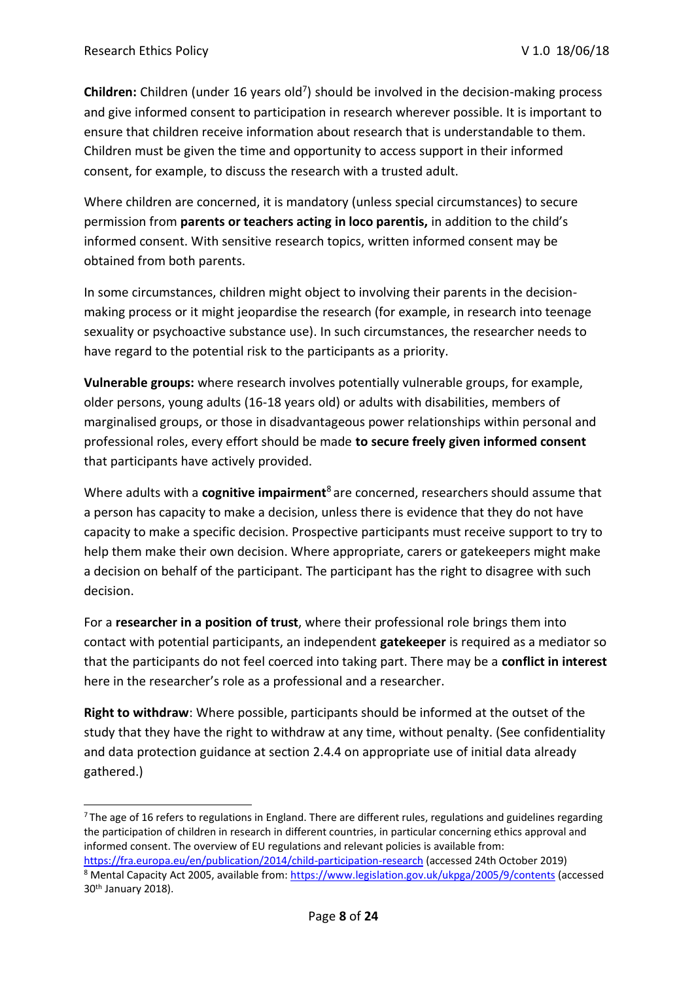Children: Children (under 16 years old<sup>7</sup>) should be involved in the decision-making process and give informed consent to participation in research wherever possible. It is important to ensure that children receive information about research that is understandable to them. Children must be given the time and opportunity to access support in their informed consent, for example, to discuss the research with a trusted adult.

Where children are concerned, it is mandatory (unless special circumstances) to secure permission from **parents or teachers acting in loco parentis,** in addition to the child's informed consent. With sensitive research topics, written informed consent may be obtained from both parents.

In some circumstances, children might object to involving their parents in the decisionmaking process or it might jeopardise the research (for example, in research into teenage sexuality or psychoactive substance use). In such circumstances, the researcher needs to have regard to the potential risk to the participants as a priority.

**Vulnerable groups:** where research involves potentially vulnerable groups, for example, older persons, young adults (16-18 years old) or adults with disabilities, members of marginalised groups, or those in disadvantageous power relationships within personal and professional roles, every effort should be made **to secure freely given informed consent**  that participants have actively provided.

Where adults with a **cognitive impairment**<sup>8</sup>are concerned, researchers should assume that a person has capacity to make a decision, unless there is evidence that they do not have capacity to make a specific decision. Prospective participants must receive support to try to help them make their own decision. Where appropriate, carers or gatekeepers might make a decision on behalf of the participant. The participant has the right to disagree with such decision.

For a **researcher in a position of trust**, where their professional role brings them into contact with potential participants, an independent **gatekeeper** is required as a mediator so that the participants do not feel coerced into taking part. There may be a **conflict in interest**  here in the researcher's role as a professional and a researcher.

**Right to withdraw**: Where possible, participants should be informed at the outset of the study that they have the right to withdraw at any time, without penalty. (See confidentiality and data protection guidance at section 2.4.4 on appropriate use of initial data already gathered.)

 $7$ The age of 16 refers to regulations in England. There are different rules, regulations and guidelines regarding the participation of children in research in different countries, in particular concerning ethics approval and informed consent. The overview of EU regulations and relevant policies is available from:

<https://fra.europa.eu/en/publication/2014/child-participation-research> (accessed 24th October 2019) <sup>8</sup> Mental Capacity Act 2005, available from:<https://www.legislation.gov.uk/ukpga/2005/9/contents> (accessed 30th January 2018).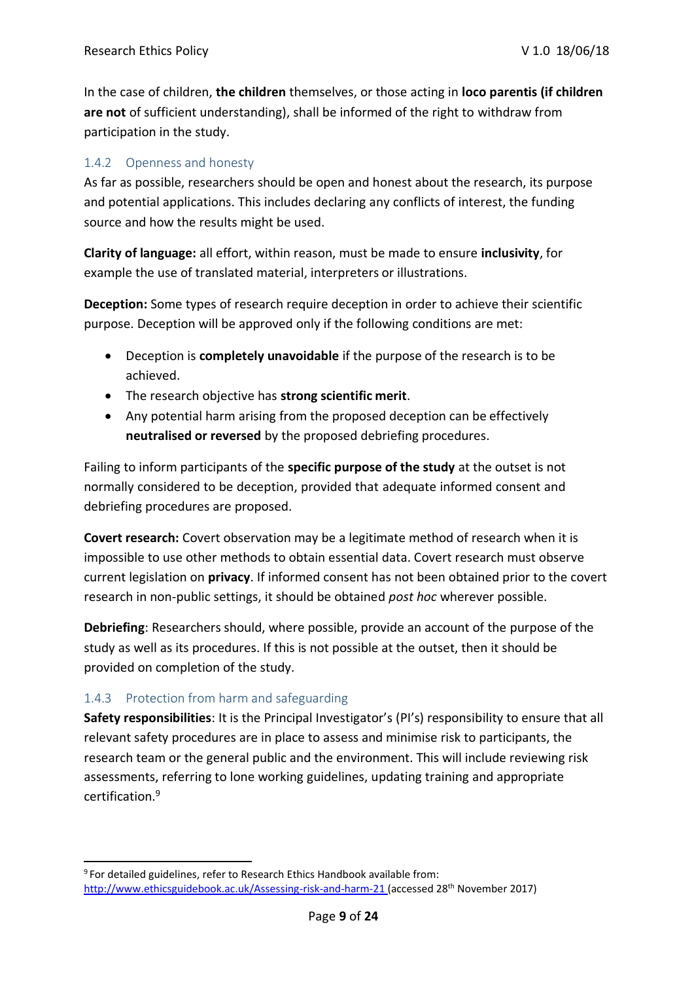In the case of children, **the children** themselves, or those acting in **loco parentis (if children are not** of sufficient understanding), shall be informed of the right to withdraw from participation in the study.

#### 1.4.2 Openness and honesty

As far as possible, researchers should be open and honest about the research, its purpose and potential applications. This includes declaring any conflicts of interest, the funding source and how the results might be used.

**Clarity of language:** all effort, within reason, must be made to ensure **inclusivity**, for example the use of translated material, interpreters or illustrations.

**Deception:** Some types of research require deception in order to achieve their scientific purpose. Deception will be approved only if the following conditions are met:

- Deception is **completely unavoidable** if the purpose of the research is to be achieved.
- The research objective has **strong scientific merit**.
- Any potential harm arising from the proposed deception can be effectively **neutralised or reversed** by the proposed debriefing procedures.

Failing to inform participants of the **specific purpose of the study** at the outset is not normally considered to be deception, provided that adequate informed consent and debriefing procedures are proposed.

**Covert research:** Covert observation may be a legitimate method of research when it is impossible to use other methods to obtain essential data. Covert research must observe current legislation on **privacy**. If informed consent has not been obtained prior to the covert research in non-public settings, it should be obtained *post hoc* wherever possible.

**Debriefing**: Researchers should, where possible, provide an account of the purpose of the study as well as its procedures. If this is not possible at the outset, then it should be provided on completion of the study.

#### 1.4.3 Protection from harm and safeguarding

**Safety responsibilities**: It is the Principal Investigator's (PI's) responsibility to ensure that all relevant safety procedures are in place to assess and minimise risk to participants, the research team or the general public and the environment. This will include reviewing risk assessments, referring to lone working guidelines, updating training and appropriate certification.<sup>9</sup>

<sup>9</sup>For detailed guidelines, refer to Research Ethics Handbook available from: [http://www.ethicsguidebook.ac.uk/Assessing-risk-and-harm-21 \(](http://www.ethicsguidebook.ac.uk/Assessing-risk-and-harm-21)accessed 28th November 2017)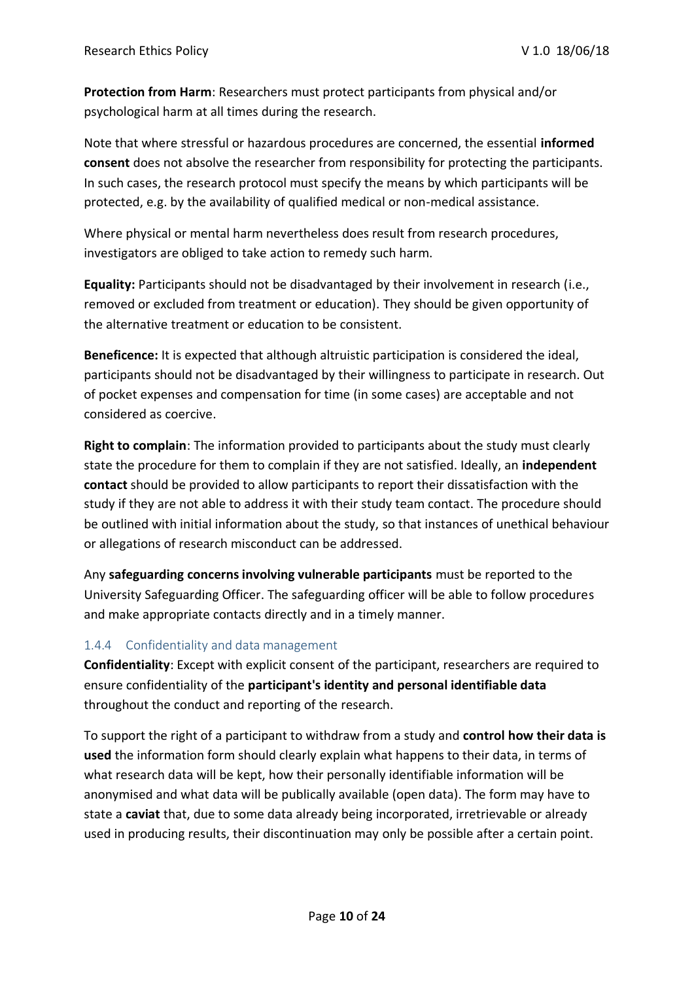**Protection from Harm**: Researchers must protect participants from physical and/or psychological harm at all times during the research.

Note that where stressful or hazardous procedures are concerned, the essential **informed consent** does not absolve the researcher from responsibility for protecting the participants. In such cases, the research protocol must specify the means by which participants will be protected, e.g. by the availability of qualified medical or non-medical assistance.

Where physical or mental harm nevertheless does result from research procedures, investigators are obliged to take action to remedy such harm.

**Equality:** Participants should not be disadvantaged by their involvement in research (i.e., removed or excluded from treatment or education). They should be given opportunity of the alternative treatment or education to be consistent.

**Beneficence:** It is expected that although altruistic participation is considered the ideal, participants should not be disadvantaged by their willingness to participate in research. Out of pocket expenses and compensation for time (in some cases) are acceptable and not considered as coercive.

**Right to complain**: The information provided to participants about the study must clearly state the procedure for them to complain if they are not satisfied. Ideally, an **independent contact** should be provided to allow participants to report their dissatisfaction with the study if they are not able to address it with their study team contact. The procedure should be outlined with initial information about the study, so that instances of unethical behaviour or allegations of research misconduct can be addressed.

Any **safeguarding concerns involving vulnerable participants** must be reported to the University Safeguarding Officer. The safeguarding officer will be able to follow procedures and make appropriate contacts directly and in a timely manner.

#### 1.4.4 Confidentiality and data management

**Confidentiality**: Except with explicit consent of the participant, researchers are required to ensure confidentiality of the **participant's identity and personal identifiable data**  throughout the conduct and reporting of the research.

To support the right of a participant to withdraw from a study and **control how their data is used** the information form should clearly explain what happens to their data, in terms of what research data will be kept, how their personally identifiable information will be anonymised and what data will be publically available (open data). The form may have to state a **caviat** that, due to some data already being incorporated, irretrievable or already used in producing results, their discontinuation may only be possible after a certain point.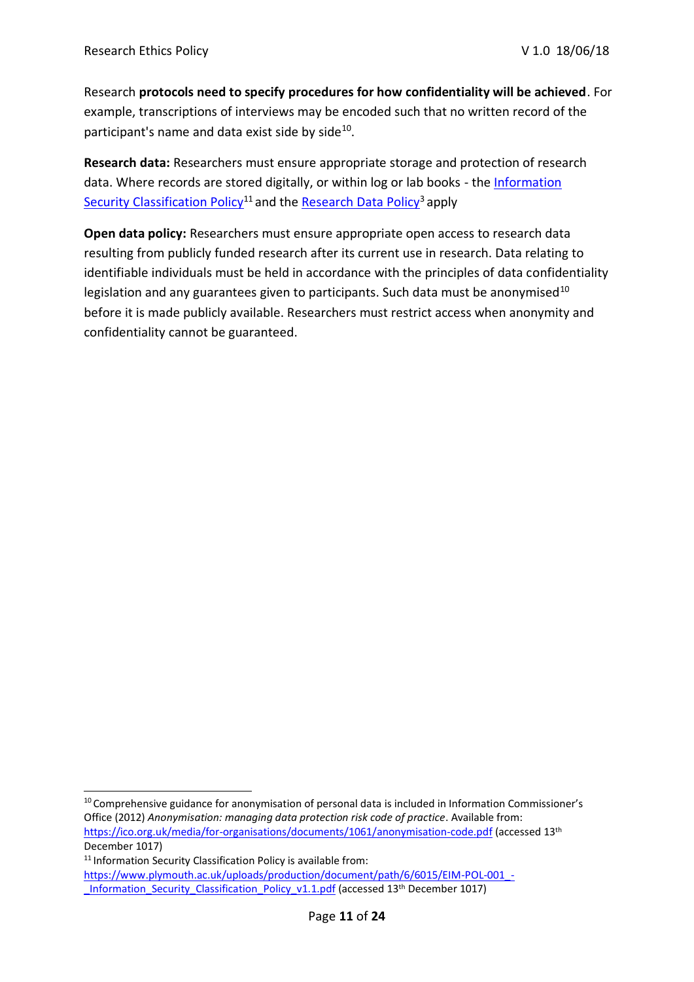Research **protocols need to specify procedures for how confidentiality will be achieved**. For example, transcriptions of interviews may be encoded such that no written record of the participant's name and data exist side by side<sup>10</sup>.

**Research data:** Researchers must ensure appropriate storage and protection of research data. Where records are stored digitally, or within log or lab books - th[e Information](https://www.plymouth.ac.uk/uploads/production/document/path/6/6015/EIM-POL-001_-_Information_Security_Classification_Policy_v1.1.pdf) [Security Classification Policy](https://www.plymouth.ac.uk/uploads/production/document/path/6/6015/EIM-POL-001_-_Information_Security_Classification_Policy_v1.1.pdf)<sup>11</sup> and the [Research Data Policy](https://www.plymouth.ac.uk/uploads/production/document/path/6/6913/Research_Data_Policy.pdf)<sup>3</sup> apply

**Open data policy:** Researchers must ensure appropriate open access to research data resulting from publicly funded research after its current use in research. Data relating to identifiable individuals must be held in accordance with the principles of data confidentiality legislation and any guarantees given to participants. Such data must be anonymised<sup>10</sup> before it is made publicly available. Researchers must restrict access when anonymity and confidentiality cannot be guaranteed.

<sup>&</sup>lt;sup>10</sup> Comprehensive guidance for anonymisation of personal data is included in Information Commissioner's Office (2012) *Anonymisation: managing data protection risk code of practice*. Available from: <https://ico.org.uk/media/for-organisations/documents/1061/anonymisation-code.pdf> (accessed 13th December 1017)

<sup>&</sup>lt;sup>11</sup> Information Security Classification Policy is available from: https://www.plymouth.ac.uk/uploads/production/document/path/6/6015/EIM-POL-001 -Information Security Classification Policy v1.1.pdf (accessed 13<sup>th</sup> December 1017)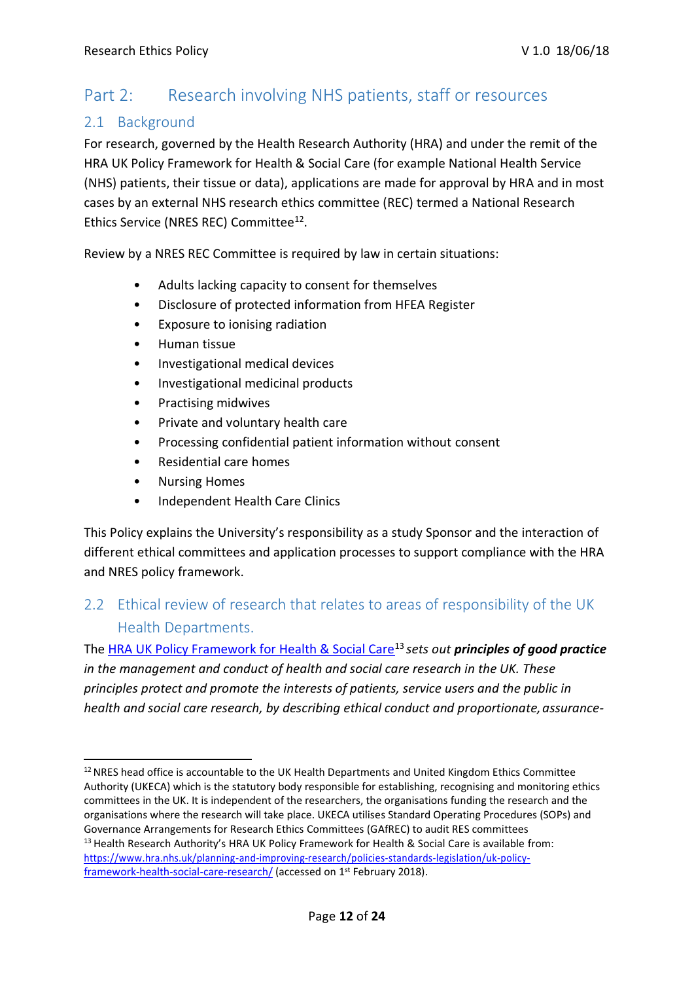# Part 2: Research involving NHS patients, staff or resources

### 2.1 Background

For research, governed by the Health Research Authority (HRA) and under the remit of the HRA UK Policy Framework for Health & Social Care (for example National Health Service (NHS) patients, their tissue or data), applications are made for approval by HRA and in most cases by an external NHS research ethics committee (REC) termed a National Research Ethics Service (NRES REC) Committee<sup>12</sup>.

Review by a NRES REC Committee is required by law in certain situations:

- Adults lacking capacity to consent for themselves
- Disclosure of protected information from HFEA Register
- Exposure to ionising radiation
- Human tissue
- Investigational medical devices
- Investigational medicinal products
- Practising midwives
- Private and voluntary health care
- Processing confidential patient information without consent
- Residential care homes
- Nursing Homes
- Independent Health Care Clinics

This Policy explains the University's responsibility as a study Sponsor and the interaction of different ethical committees and application processes to support compliance with the HRA and NRES policy framework.

### 2.2 Ethical review of research that relates to areas of responsibility of the UK Health Departments.

The [HRA UK Policy Framework for Health & Social Care](https://www.hra.nhs.uk/planning-and-improving-research/policies-standards-legislation/uk-policy-framework-health-social-care-research/)<sup>13</sup>*sets out principles of good practice in the management and conduct of health and social care research in the UK. These principles protect and promote the interests of patients, service users and the public in*  health and social care research, by describing ethical conduct and proportionate, assurance-

<sup>&</sup>lt;sup>12</sup> NRES head office is accountable to the UK Health Departments and United Kingdom Ethics Committee Authority (UKECA) which is the statutory body responsible for establishing, recognising and monitoring ethics committees in the UK. It is independent of the researchers, the organisations funding the research and the organisations where the research will take place. UKECA utilises Standard Operating Procedures (SOPs) and Governance Arrangements for Research Ethics Committees (GAfREC) to audit RES committees <sup>13</sup> Health Research Authority's HRA UK Policy Framework for Health & Social Care is available from: [https://www.hra.nhs.uk/planning-and-improving-research/policies-standards-legislation/uk-policy](https://www.hra.nhs.uk/planning-and-improving-research/policies-standards-legislation/uk-policy-framework-health-social-care-research/)[framework-health-social-care-research/](https://www.hra.nhs.uk/planning-and-improving-research/policies-standards-legislation/uk-policy-framework-health-social-care-research/) (accessed on 1<sup>st</sup> February 2018).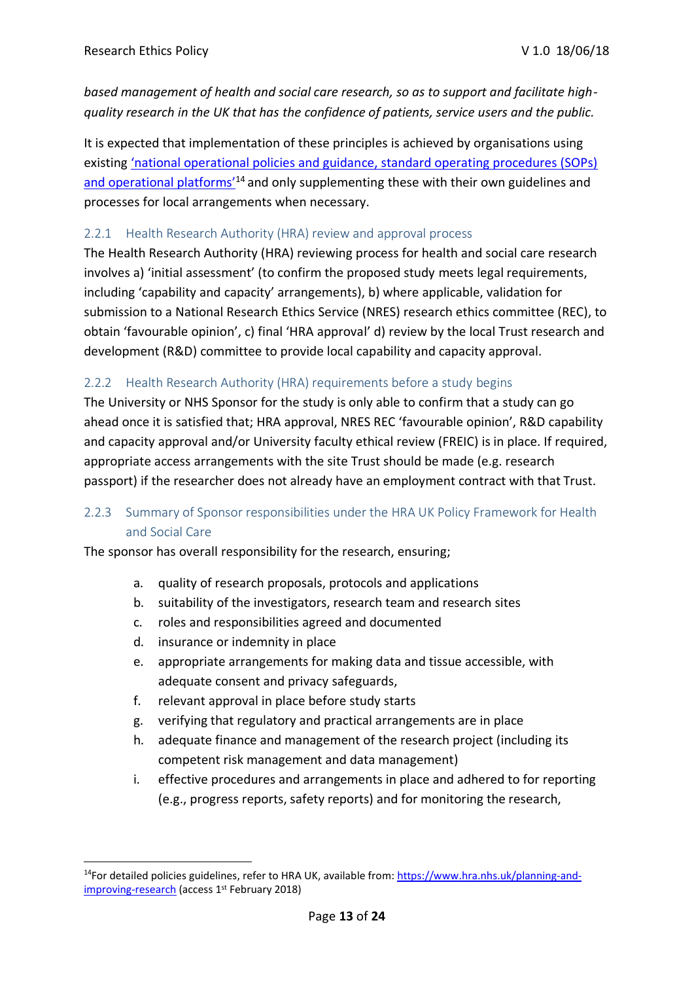*based management of health and social care research, so as to support and facilitate highquality research in the UK that has the confidence of patients, service users and the public.*

It is expected that implementation of these principles is achieved by organisations using existing 'national operational pol[icies and guidance, standard operating procedures \(SOPs\)](https://www.hra.nhs.uk/planning-and-improving-research) and operational platforms<sup> $14$ </sup> and only supplementing these with their own guidelines and processes for local arrangements when necessary.

#### 2.2.1 Health Research Authority (HRA) review and approval process

The Health Research Authority (HRA) reviewing process for health and social care research involves a) 'initial assessment' (to confirm the proposed study meets legal requirements, including 'capability and capacity' arrangements), b) where applicable, validation for submission to a National Research Ethics Service (NRES) research ethics committee (REC), to obtain 'favourable opinion', c) final 'HRA approval' d) review by the local Trust research and development (R&D) committee to provide local capability and capacity approval.

#### 2.2.2 Health Research Authority (HRA) requirements before a study begins

The University or NHS Sponsor for the study is only able to confirm that a study can go ahead once it is satisfied that; HRA approval, NRES REC 'favourable opinion', R&D capability and capacity approval and/or University faculty ethical review (FREIC) is in place. If required, appropriate access arrangements with the site Trust should be made (e.g. research passport) if the researcher does not already have an employment contract with that Trust.

#### 2.2.3 Summary of Sponsor responsibilities under the HRA UK Policy Framework for Health and Social Care

The sponsor has overall responsibility for the research, ensuring;

- a. quality of research proposals, protocols and applications
- b. suitability of the investigators, research team and research sites
- c. roles and responsibilities agreed and documented
- d. insurance or indemnity in place
- e. appropriate arrangements for making data and tissue accessible, with adequate consent and privacy safeguards,
- f. relevant approval in place before study starts
- g. verifying that regulatory and practical arrangements are in place
- h. adequate finance and management of the research project (including its competent risk management and data management)
- i. effective procedures and arrangements in place and adhered to for reporting (e.g., progress reports, safety reports) and for monitoring the research,

<sup>&</sup>lt;sup>14</sup>For detailed policies guidelines, refer to HRA UK, available from[: https://www.hra.nhs.uk/planning-and](https://www.hra.nhs.uk/planning-and-improving-research)[improving-research](https://www.hra.nhs.uk/planning-and-improving-research) (access 1<sup>st</sup> February 2018)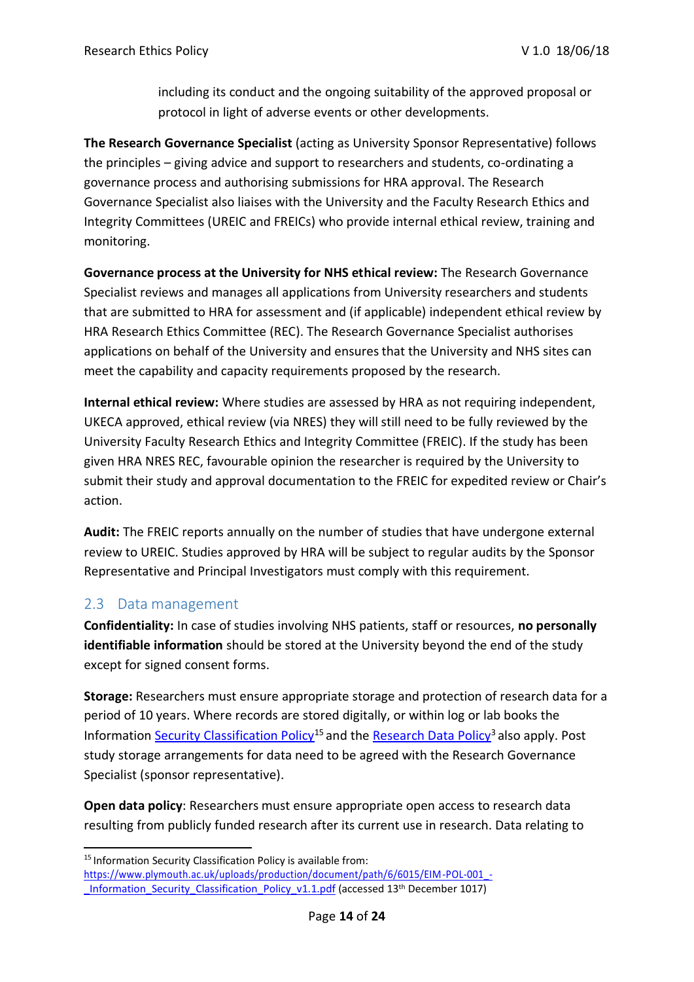including its conduct and the ongoing suitability of the approved proposal or protocol in light of adverse events or other developments.

**The Research Governance Specialist** (acting as University Sponsor Representative) follows the principles – giving advice and support to researchers and students, co-ordinating a governance process and authorising submissions for HRA approval. The Research Governance Specialist also liaises with the University and the Faculty Research Ethics and Integrity Committees (UREIC and FREICs) who provide internal ethical review, training and monitoring.

**Governance process at the University for NHS ethical review:** The Research Governance Specialist reviews and manages all applications from University researchers and students that are submitted to HRA for assessment and (if applicable) independent ethical review by HRA Research Ethics Committee (REC). The Research Governance Specialist authorises applications on behalf of the University and ensures that the University and NHS sites can meet the capability and capacity requirements proposed by the research.

**Internal ethical review:** Where studies are assessed by HRA as not requiring independent, UKECA approved, ethical review (via NRES) they will still need to be fully reviewed by the University Faculty Research Ethics and Integrity Committee (FREIC). If the study has been given HRA NRES REC, favourable opinion the researcher is required by the University to submit their study and approval documentation to the FREIC for expedited review or Chair's action.

**Audit:** The FREIC reports annually on the number of studies that have undergone external review to UREIC. Studies approved by HRA will be subject to regular audits by the Sponsor Representative and Principal Investigators must comply with this requirement.

### 2.3 Data management

**Confidentiality:** In case of studies involving NHS patients, staff or resources, **no personally identifiable information** should be stored at the University beyond the end of the study except for signed consent forms.

**Storage:** Researchers must ensure appropriate storage and protection of research data for a period of 10 years. Where records are stored digitally, or within log or lab books the Information [Security Classification Policy](https://www.plymouth.ac.uk/uploads/production/document/path/6/6015/EIM-POL-001_-_Information_Security_Classification_Policy_v1.1.pdf)<sup>15</sup> and the [Research Data Policy](https://www.plymouth.ac.uk/uploads/production/document/path/6/6913/Research_Data_Policy.pdf)<sup>3</sup> also apply. Post study storage arrangements for data need to be agreed with the Research Governance Specialist (sponsor representative).

**Open data policy**: Researchers must ensure appropriate open access to research data resulting from publicly funded research after its current use in research. Data relating to

<sup>&</sup>lt;sup>15</sup> Information Security Classification Policy is available from:

[https://www.plymouth.ac.uk/uploads/production/document/path/6/6015/EIM-POL-001\\_-](https://www.plymouth.ac.uk/uploads/production/document/path/6/6015/EIM-POL-001_-_Information_Security_Classification_Policy_v1.1.pdf) Information Security Classification Policy v1.1.pdf (accessed 13<sup>th</sup> December 1017)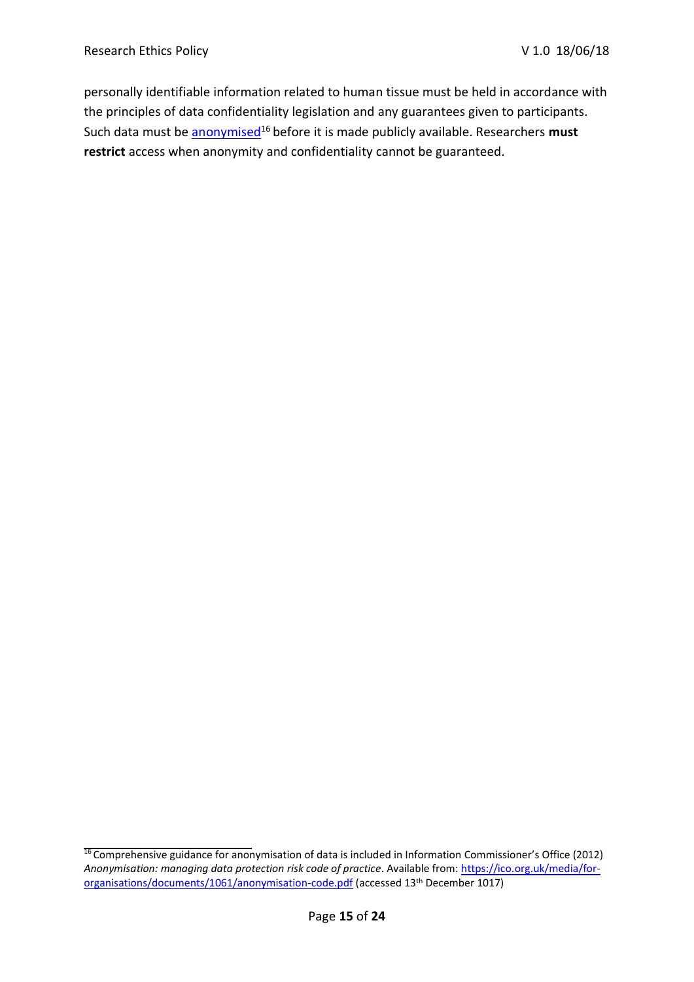personally identifiable information related to human tissue must be held in accordance with the principles of data confidentiality legislation and any guarantees given to participants. Such data must be **anonymised<sup>16</sup>** before it is made publicly available. Researchers **must restrict** access when anonymity and confidentiality cannot be guaranteed.

<sup>&</sup>lt;sup>16</sup> Comprehensive guidance for anonymisation of data is included in Information Commissioner's Office (2012) *Anonymisation: managing data protection risk code of practice*. Available from: [https://ico.org.uk/media/for](https://ico.org.uk/media/for-organisations/documents/1061/anonymisation-code.pdf)[organisations/documents/1061/anonymisation-code.pdf](https://ico.org.uk/media/for-organisations/documents/1061/anonymisation-code.pdf) (accessed 13th December 1017)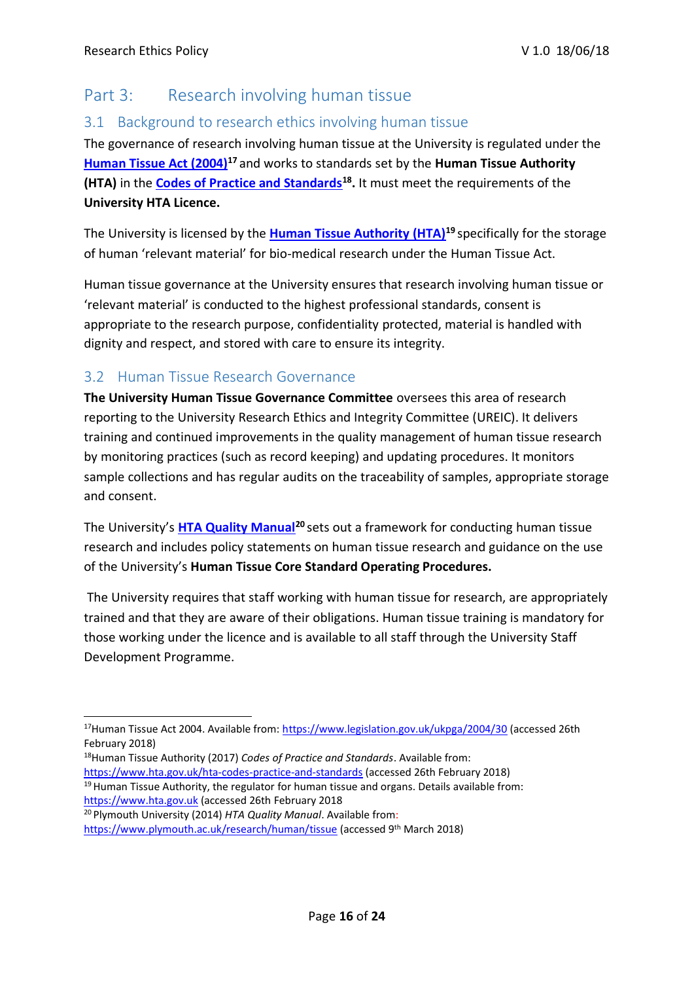# Part 3: Research involving human tissue

### 3.1 Background to research ethics involving human tissue

The governance of research involving human tissue at the University is regulated under the **[Human Tissue Act \(2004\)](https://www.legislation.gov.uk/ukpga/2004/30)<sup>17</sup>**and works to standards set by the **Human Tissue Authority (HTA)** in the **[Codes of Practice and Standards](https://www.hta.gov.uk/hta-codes-practice-and-standards)<sup>18</sup> .** It must meet the requirements of the **University HTA Licence.**

The University is licensed by the **[Human Tissue Authority \(HTA\)](https://www.hta.gov.uk/)<sup>19</sup>**specifically for the storage of human 'relevant material' for bio-medical research under the Human Tissue Act.

Human tissue governance at the University ensures that research involving human tissue or 'relevant material' is conducted to the highest professional standards, consent is appropriate to the research purpose, confidentiality protected, material is handled with dignity and respect, and stored with care to ensure its integrity.

### 3.2 Human Tissue Research Governance

**The University Human Tissue Governance Committee** oversees this area of research reporting to the University Research Ethics and Integrity Committee (UREIC). It delivers training and continued improvements in the quality management of human tissue research by monitoring practices (such as record keeping) and updating procedures. It monitors sample collections and has regular audits on the traceability of samples, appropriate storage and consent.

The University's **[HTA Quality Manual](https://www.plymouth.ac.uk/research/human/tissue)<sup>20</sup>**sets out a framework for conducting human tissue research and includes policy statements on human tissue research and guidance on the use of the University's **Human Tissue Core Standard Operating Procedures.**

The University requires that staff working with human tissue for research, are appropriately trained and that they are aware of their obligations. Human tissue training is mandatory for those working under the licence and is available to all staff through the University Staff Development Programme.

- <sup>18</sup>Human Tissue Authority (2017) *Codes of Practice and Standards*. Available from: <https://www.hta.gov.uk/hta-codes-practice-and-standards> (accessed 26th February 2018)
- $19$  Human Tissue Authority, the regulator for human tissue and organs. Details available from: [https://www.hta.gov.uk](https://www.hta.gov.uk/) (accessed 26th February 2018
- <sup>20</sup> Plymouth University (2014) *HTA Quality Manual*. Available from:

<sup>17</sup>Human Tissue Act 2004. Available from:<https://www.legislation.gov.uk/ukpga/2004/30> (accessed 26th February 2018)

<https://www.plymouth.ac.uk/research/human/tissue> (accessed 9th March 2018)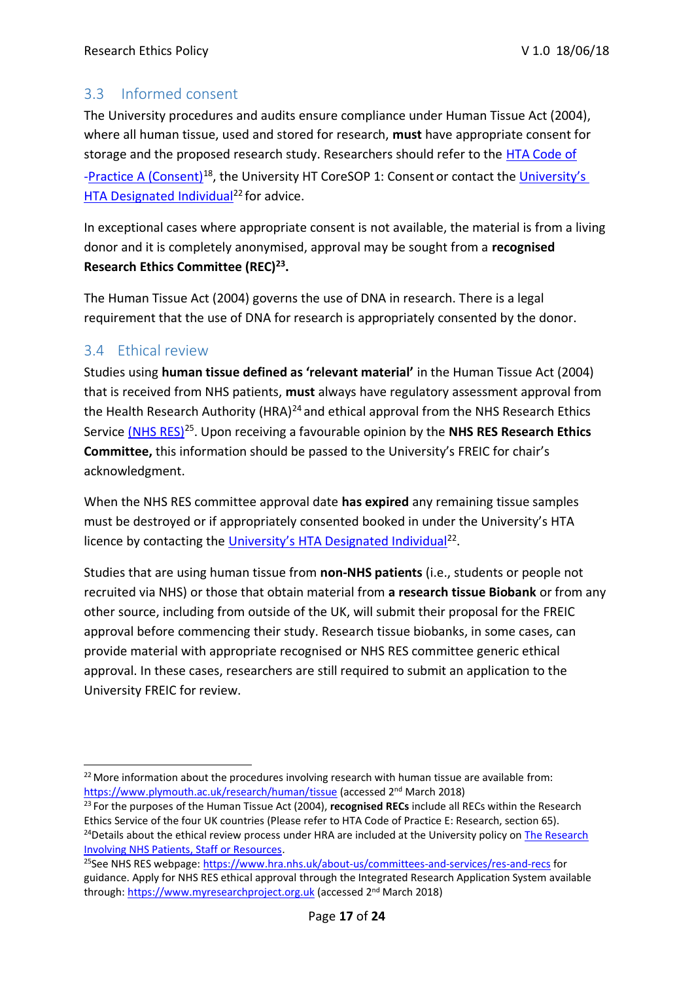### 3.3 Informed consent

The University procedures and audits ensure compliance under Human Tissue Act (2004), where all human tissue, used and stored for research, **must** have appropriate consent for storage and the proposed research study. Researchers should refer to the [HTA Code of](https://www.hta.gov.uk/) [-Practice A \(Consent\)](https://www.hta.gov.uk/)<sup>18</sup>, the University HT CoreSOP 1: Consent or contact the University's [HTA Designated Individual](https://www.plymouth.ac.uk/research/human/tissue)<sup>22</sup> for advice.

In exceptional cases where appropriate consent is not available, the material is from a living donor and it is completely anonymised, approval may be sought from a **recognised Research Ethics Committee (REC)<sup>23</sup> .**

The Human Tissue Act (2004) governs the use of DNA in research. There is a legal requirement that the use of DNA for research is appropriately consented by the donor.

### 3.4 Ethical review

Studies using **human tissue defined as 'relevant material'** in the Human Tissue Act (2004) that is received from NHS patients, **must** always have regulatory assessment approval from the Health Research Authority (HRA) $^{24}$  and ethical approval from the NHS Research Ethics Service [\(NHS RES\)](https://www.myresearchproject.org.uk/)<sup>25</sup>. Upon receiving a favourable opinion by the **NHS RES Research Ethics Committee,** this information should be passed to the University's FREIC for chair's acknowledgment.

When the NHS RES committee approval date **has expired** any remaining tissue samples must be destroyed or if appropriately consented booked in under the University's HTA licence by contacting the [University's HTA Designated Individual](https://www.plymouth.ac.uk/research/human/tissue)<sup>22</sup>.

Studies that are using human tissue from **non-NHS patients** (i.e., students or people not recruited via NHS) or those that obtain material from **a research tissue Biobank** or from any other source, including from outside of the UK, will submit their proposal for the FREIC approval before commencing their study. Research tissue biobanks, in some cases, can provide material with appropriate recognised or NHS RES committee generic ethical approval. In these cases, researchers are still required to submit an application to the University FREIC for review.

<sup>&</sup>lt;sup>22</sup> More information about the procedures involving research with human tissue are available from: <https://www.plymouth.ac.uk/research/human/tissue> (accessed 2nd March 2018)

<sup>23</sup>For the purposes of the Human Tissue Act (2004), **recognised RECs** include all RECs within the Research Ethics Service of the four UK countries (Please refer to HTA Code of Practice E: Research, section 65). <sup>24</sup>Details about the ethical review process under HRA are included at the University policy on The Research Involving NHS Patients, Staff or Resources.

<sup>&</sup>lt;sup>25</sup>See NHS RES webpage:<https://www.hra.nhs.uk/about-us/committees-and-services/res-and-recs> for guidance. Apply for NHS RES ethical approval through the Integrated Research Application System available through[: https://www.myresearchproject.org.uk](https://www.myresearchproject.org.uk/) (accessed 2<sup>nd</sup> March 2018)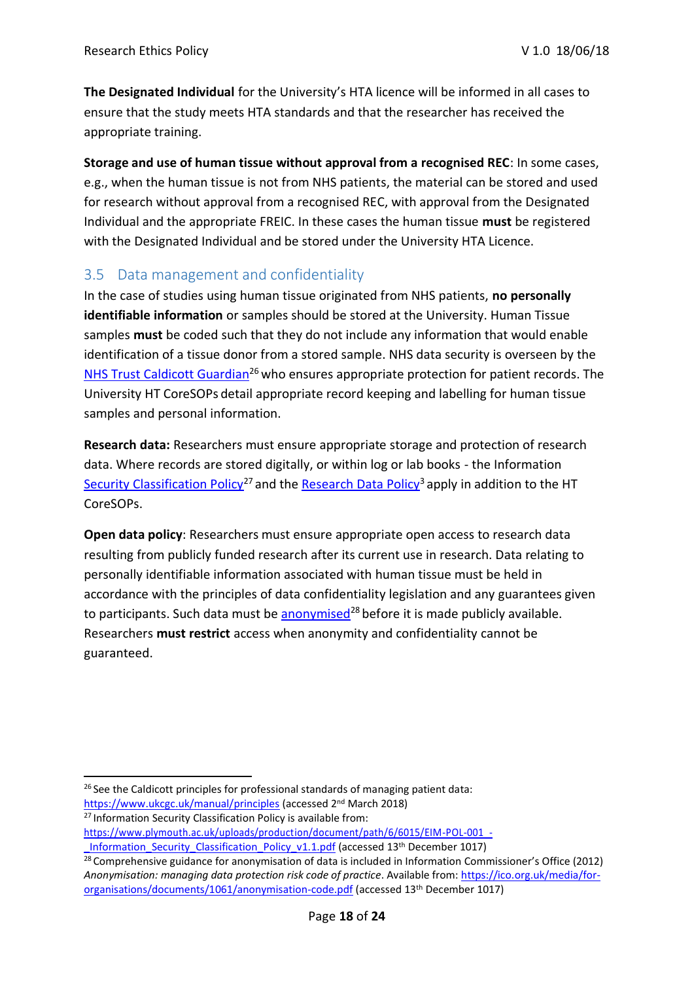**The Designated Individual** for the University's HTA licence will be informed in all cases to ensure that the study meets HTA standards and that the researcher has received the appropriate training.

**Storage and use of human tissue without approval from a recognised REC**: In some cases, e.g., when the human tissue is not from NHS patients, the material can be stored and used for research without approval from a recognised REC, with approval from the Designated Individual and the appropriate FREIC. In these cases the human tissue **must** be registered with the Designated Individual and be stored under the University HTA Licence.

### 3.5 Data management and confidentiality

In the case of studies using human tissue originated from NHS patients, **no personally identifiable information** or samples should be stored at the University. Human Tissue samples **must** be coded such that they do not include any information that would enable identification of a tissue donor from a stored sample. NHS data security is overseen by the [NHS Trust Caldicott Guardian](https://www.ukcgc.uk/manual/principles)<sup>26</sup> who ensures appropriate protection for patient records. The University [HT CoreSOPs](https://collaborate.plymouth.ac.uk/sites/pupsmdrg/HTA/Pages/default.aspx) detail appropriate record keeping and labelling for human tissue samples and personal information.

**Research data:** Researchers must ensure appropriate storage and protection of research data. Where records are stored digitally, or within log or lab books - the Information [Security Classification Policy](https://www.plymouth.ac.uk/uploads/production/document/path/6/6015/EIM-POL-001_-_Information_Security_Classification_Policy_v1.1.pdf)<sup>27</sup> and the [Research Data Policy](https://www.plymouth.ac.uk/uploads/production/document/path/6/6913/Research_Data_Policy.pdf)<sup>3</sup> apply in addition to the HT CoreSOPs.

**Open data policy**: Researchers must ensure appropriate open access to research data resulting from publicly funded research after its current use in research. Data relating to personally identifiable information associated with human tissue must be held in accordance with the principles of data confidentiality legislation and any guarantees given to participants. Such data must be [anonymised](https://ico.org.uk/media/for-organisations/documents/1061/anonymisation-code.pdf)<sup>28</sup> before it is made publicly available. Researchers **must restrict** access when anonymity and confidentiality cannot be guaranteed.

 $26$  See the Caldicott principles for professional standards of managing patient data: <https://www.ukcgc.uk/manual/principles> (accessed 2<sup>nd</sup> March 2018)

<sup>&</sup>lt;sup>27</sup> Information Security Classification Policy is available from:

[https://www.plymouth.ac.uk/uploads/production/document/path/6/6015/EIM-POL-001\\_-](https://www.plymouth.ac.uk/uploads/production/document/path/6/6015/EIM-POL-001_-_Information_Security_Classification_Policy_v1.1.pdf) Information Security Classification Policy v1.1.pdf (accessed 13<sup>th</sup> December 1017)

<sup>&</sup>lt;sup>28</sup> Comprehensive guidance for anonymisation of data is included in Information Commissioner's Office (2012) *Anonymisation: managing data protection risk code of practice*. Available from: [https://ico.org.uk/media/for](https://ico.org.uk/media/for-organisations/documents/1061/anonymisation-code.pdf)[organisations/documents/1061/anonymisation-code.pdf](https://ico.org.uk/media/for-organisations/documents/1061/anonymisation-code.pdf) (accessed 13th December 1017)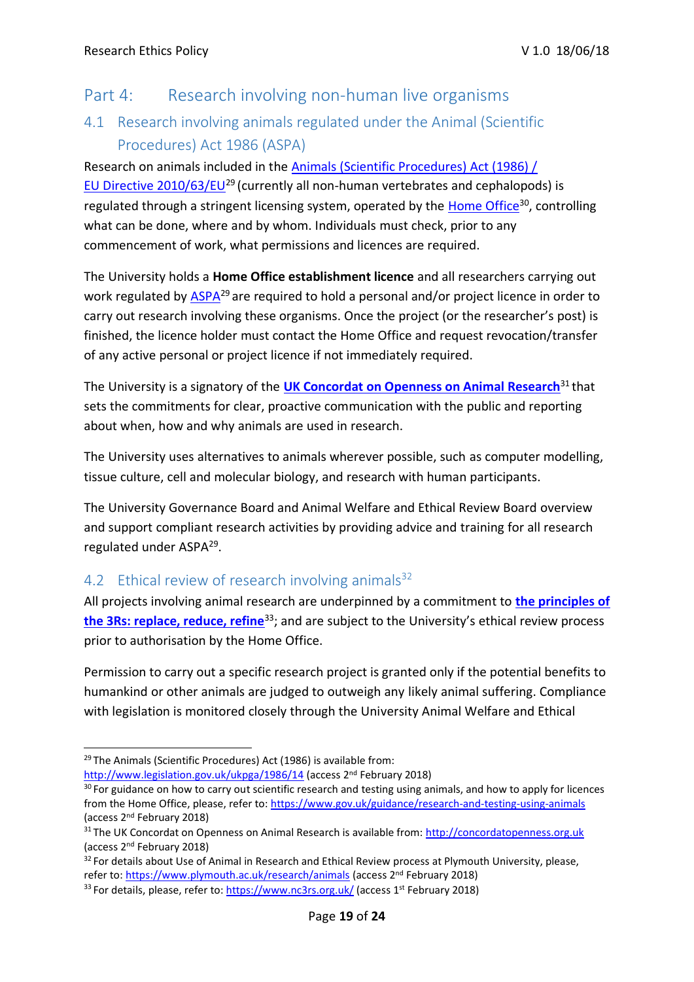### Part 4: Research involving non-human live organisms

## 4.1 Research involving animals regulated under the Animal (Scientific Procedures) Act 1986 (ASPA)

Research on animals included in the [Animals \(Scientific Procedures\) Act \(1986\) /](http://www.legislation.gov.uk/ukpga/1986/14) [EU Directive 2010/63/EU](http://www.legislation.gov.uk/ukpga/1986/14)<sup>29</sup>(currently all non-human vertebrates and cephalopods) is regulated through a stringent licensing system, operated by the *Home Office*<sup>30</sup>, controlling what can be done, where and by whom. Individuals must check, prior to any commencement of work, what permissions and licences are required.

The University holds a **Home Office establishment licence** and all researchers carrying out work regulated by  $\overline{ASPA}^{29}$  are required to hold a personal and/or project licence in order to carry out research involving these organisms. Once the project (or the researcher's post) is finished, the licence holder must contact the Home Office and request revocation/transfer of any active personal or project licence if not immediately required.

The University is a signatory of the [UK Concordat on Openness on Animal](http://concordatopenness.org.uk/) Research<sup>31</sup> that sets the commitments for clear, proactive communication with the public and reporting about when, how and why animals are used in research.

The University uses alternatives to animals wherever possible, such as computer modelling, tissue culture, cell and molecular biology, and research with human participants.

The University Governance Board and Animal Welfare and Ethical Review Board overview and support compliant research activities by providing advice and training for all research regulated under ASPA<sup>29</sup>.

### 4.2 Ethical review of research involving animals<sup>32</sup>

All projects involving animal research are underpinned by a commitment to **[the principles of](https://www.nc3rs.org.uk/) [the 3Rs: replace, reduce, refine](https://www.nc3rs.org.uk/)**<sup>33</sup>; and are subject to the University's ethical review process prior to authorisation by the Home Office.

Permission to carry out a specific research project is granted only if the potential benefits to humankind or other animals are judged to outweigh any likely animal suffering. Compliance with legislation is monitored closely through the University Animal Welfare and Ethical

<http://www.legislation.gov.uk/ukpga/1986/14> (access 2<sup>nd</sup> February 2018)

<sup>&</sup>lt;sup>29</sup> The Animals (Scientific Procedures) Act (1986) is available from:

<sup>&</sup>lt;sup>30</sup> For guidance on how to carry out scientific research and testing using animals, and how to apply for licences from the Home Office, please, refer to:<https://www.gov.uk/guidance/research-and-testing-using-animals> (access 2nd February 2018)

<sup>&</sup>lt;sup>31</sup>The UK Concordat on Openness on Animal Research is available from: [http://concordatopenness.org.uk](http://concordatopenness.org.uk/) (access 2nd February 2018)

<sup>&</sup>lt;sup>32</sup> For details about Use of Animal in Research and Ethical Review process at Plymouth University, please, refer to:<https://www.plymouth.ac.uk/research/animals> (access 2nd February 2018)

<sup>33</sup>For details, please, refer to:<https://www.nc3rs.org.uk/> (access 1st February 2018)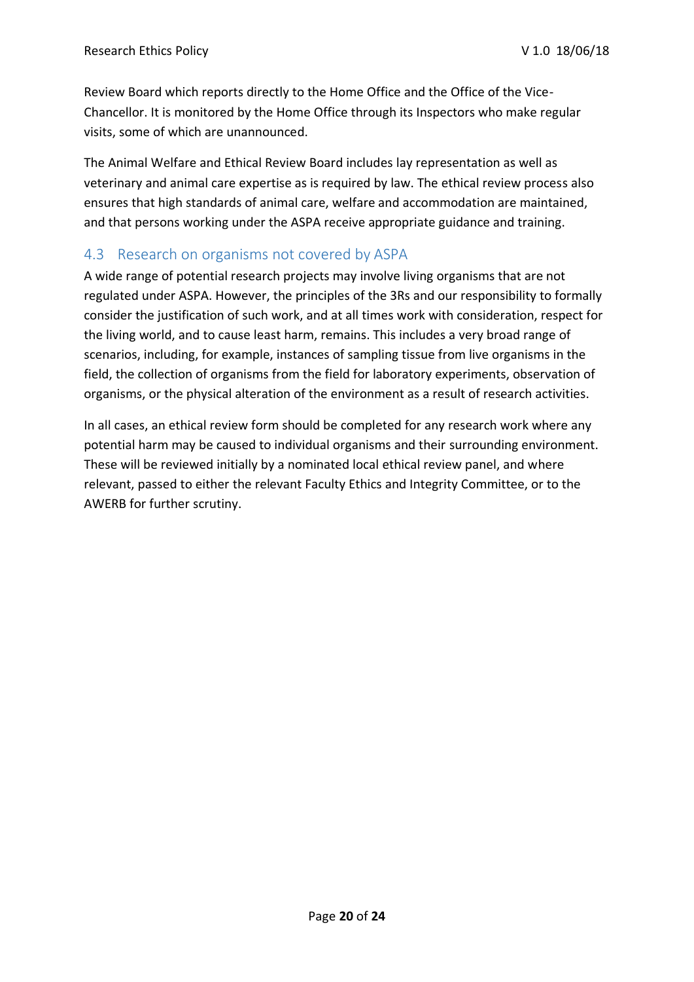Review Board which reports directly to the Home Office and the Office of the Vice-Chancellor. It is monitored by the Home Office through its Inspectors who make regular visits, some of which are unannounced.

The Animal Welfare and Ethical Review Board includes lay representation as well as veterinary and animal care expertise as is required by law. The ethical review process also ensures that high standards of animal care, welfare and accommodation are maintained, and that persons working under the ASPA receive appropriate guidance and training.

### 4.3 Research on organisms not covered by ASPA

A wide range of potential research projects may involve living organisms that are not regulated under ASPA. However, the principles of the 3Rs and our responsibility to formally consider the justification of such work, and at all times work with consideration, respect for the living world, and to cause least harm, remains. This includes a very broad range of scenarios, including, for example, instances of sampling tissue from live organisms in the field, the collection of organisms from the field for laboratory experiments, observation of organisms, or the physical alteration of the environment as a result of research activities.

In all cases, an ethical review form should be completed for any research work where any potential harm may be caused to individual organisms and their surrounding environment. These will be reviewed initially by a nominated local ethical review panel, and where relevant, passed to either the relevant Faculty Ethics and Integrity Committee, or to the AWERB for further scrutiny.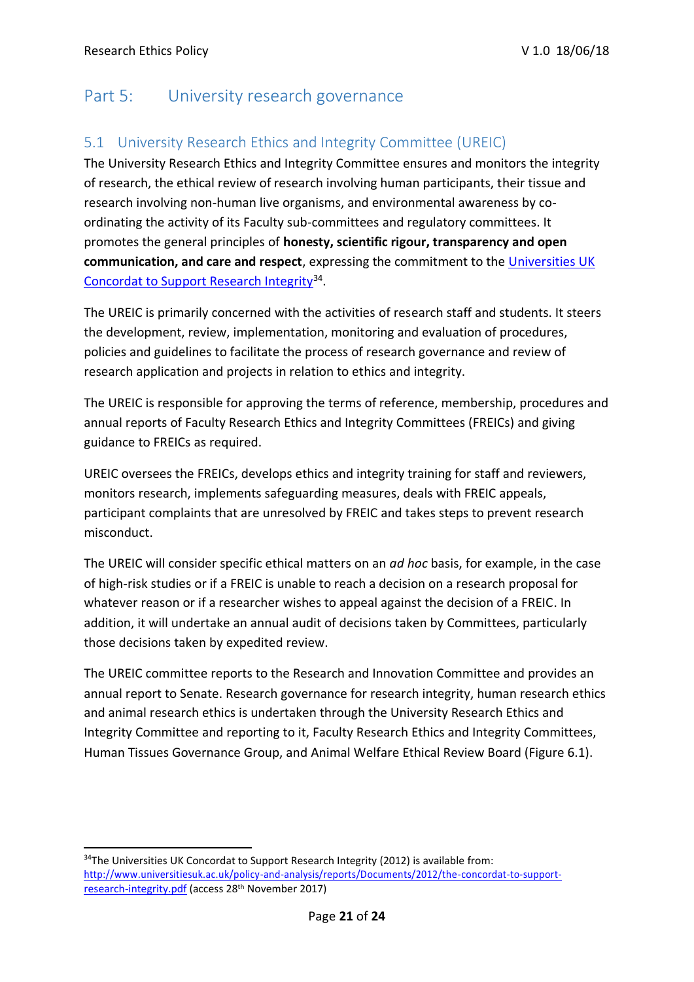# Part 5: University research governance

### 5.1 University Research Ethics and Integrity Committee (UREIC)

The University Research Ethics and Integrity Committee ensures and monitors the integrity of research, the ethical review of research involving human participants, their tissue and research involving non-human live organisms, and environmental awareness by coordinating the activity of its Faculty sub-committees and regulatory committees. It promotes the general principles of **honesty, scientific rigour, transparency and open communication, and care and respect**, expressing the commitment to the [Universities UK](http://www.universitiesuk.ac.uk/policy-and-analysis/reports/Documents/2012/the-concordat-to-support-research-integrity.pdf) [Concordat to Support Research Integrity](http://www.universitiesuk.ac.uk/policy-and-analysis/reports/Documents/2012/the-concordat-to-support-research-integrity.pdf)<sup>34</sup>.

The UREIC is primarily concerned with the activities of research staff and students. It steers the development, review, implementation, monitoring and evaluation of procedures, policies and guidelines to facilitate the process of research governance and review of research application and projects in relation to ethics and integrity.

The UREIC is responsible for approving the terms of reference, membership, procedures and annual reports of Faculty Research Ethics and Integrity Committees (FREICs) and giving guidance to FREICs as required.

UREIC oversees the FREICs, develops ethics and integrity training for staff and reviewers, monitors research, implements safeguarding measures, deals with FREIC appeals, participant complaints that are unresolved by FREIC and takes steps to prevent research misconduct.

The UREIC will consider specific ethical matters on an *ad hoc* basis, for example, in the case of high-risk studies or if a FREIC is unable to reach a decision on a research proposal for whatever reason or if a researcher wishes to appeal against the decision of a FREIC. In addition, it will undertake an annual audit of decisions taken by Committees, particularly those decisions taken by expedited review.

The UREIC committee reports to the Research and Innovation Committee and provides an annual report to Senate. Research governance for research integrity, human research ethics and animal research ethics is undertaken through the University Research Ethics and Integrity Committee and reporting to it, Faculty Research Ethics and Integrity Committees, Human Tissues Governance Group, and Animal Welfare Ethical Review Board (Figure 6.1).

<sup>&</sup>lt;sup>34</sup>The Universities UK Concordat to Support Research Integrity (2012) is available from: [http://www.universitiesuk.ac.uk/policy-and-analysis/reports/Documents/2012/the-concordat-to-support](http://www.universitiesuk.ac.uk/policy-and-analysis/reports/Documents/2012/the-concordat-to-support-research-integrity.pdf)[research-integrity.pdf](http://www.universitiesuk.ac.uk/policy-and-analysis/reports/Documents/2012/the-concordat-to-support-research-integrity.pdf) (access 28th November 2017)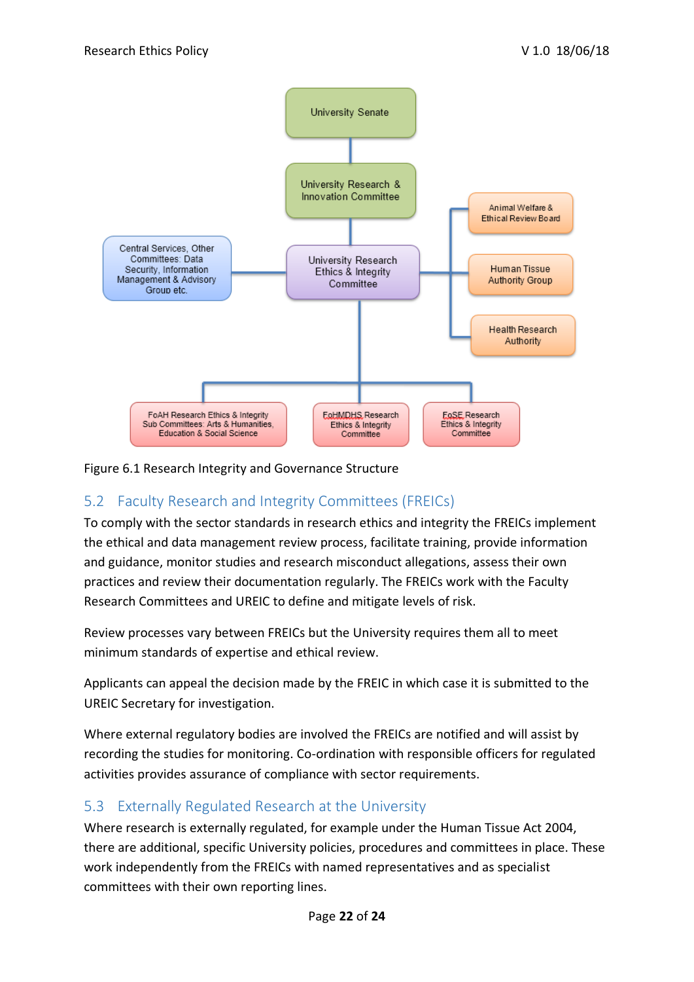

#### Figure 6.1 Research Integrity and Governance Structure

### 5.2 Faculty Research and Integrity Committees (FREICs)

To comply with the sector standards in research ethics and integrity the FREICs implement the ethical and data management review process, facilitate training, provide information and guidance, monitor studies and research misconduct allegations, assess their own practices and review their documentation regularly. The FREICs work with the Faculty Research Committees and UREIC to define and mitigate levels of risk.

Review processes vary between FREICs but the University requires them all to meet minimum standards of expertise and ethical review.

Applicants can appeal the decision made by the FREIC in which case it is submitted to the UREIC Secretary for investigation.

Where external regulatory bodies are involved the FREICs are notified and will assist by recording the studies for monitoring. Co-ordination with responsible officers for regulated activities provides assurance of compliance with sector requirements.

### 5.3 Externally Regulated Research at the University

Where research is externally regulated, for example under the Human Tissue Act 2004, there are additional, specific University policies, procedures and committees in place. These work independently from the FREICs with named representatives and as specialist committees with their own reporting lines.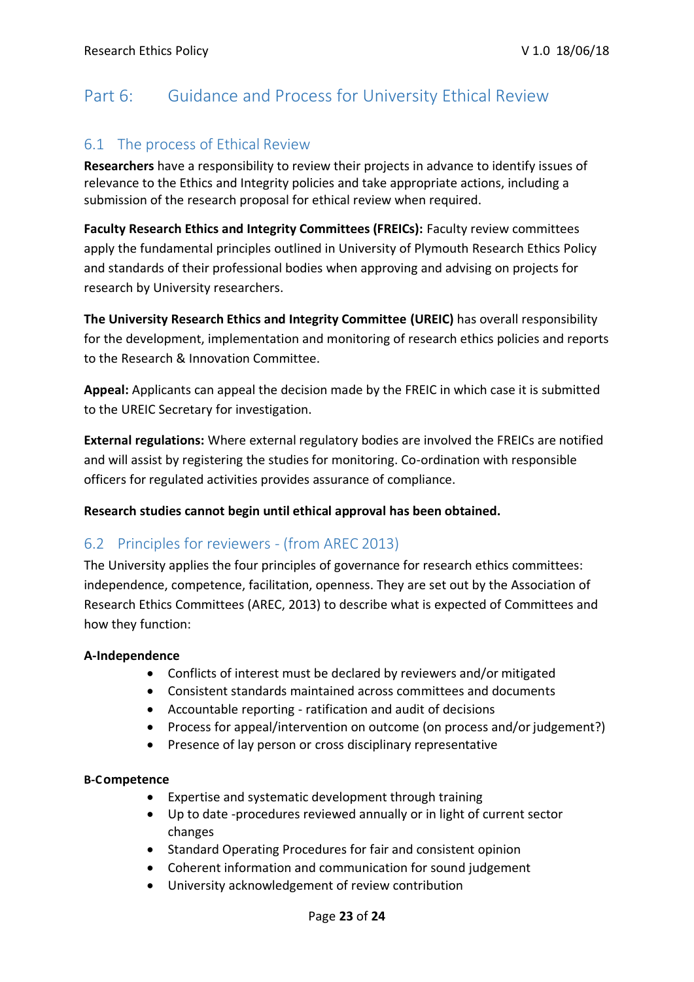# Part 6: Guidance and Process for University Ethical Review

#### 6.1 The process of Ethical Review

**Researchers** have a responsibility to review their projects in advance to identify issues of relevance to the Ethics and Integrity policies and take appropriate actions, including a submission of the research proposal for ethical review when required.

**Faculty Research Ethics and Integrity Committees (FREICs):** Faculty review committees apply the fundamental principles outlined in University of Plymouth Research Ethics Policy and standards of their professional bodies when approving and advising on projects for research by University researchers.

**The University Research Ethics and Integrity Committee (UREIC)** has overall responsibility for the development, implementation and monitoring of research ethics policies and reports to the Research & Innovation Committee.

**Appeal:** Applicants can appeal the decision made by the FREIC in which case it is submitted to the UREIC Secretary for investigation.

**External regulations:** Where external regulatory bodies are involved the FREICs are notified and will assist by registering the studies for monitoring. Co-ordination with responsible officers for regulated activities provides assurance of compliance.

**Research studies cannot begin until ethical approval has been obtained.**

#### 6.2 Principles for reviewers - (from AREC 2013)

The University applies the four principles of governance for research ethics committees: independence, competence, facilitation, openness. They are set out by the Association of Research Ethics Committees (AREC, 2013) to describe what is expected of Committees and how they function:

#### **A-Independence**

- Conflicts of interest must be declared by reviewers and/or mitigated
- Consistent standards maintained across committees and documents
- Accountable reporting ratification and audit of decisions
- Process for appeal/intervention on outcome (on process and/or judgement?)
- Presence of lay person or cross disciplinary representative

#### **B-Competence**

- Expertise and systematic development through training
- Up to date -procedures reviewed annually or in light of current sector changes
- Standard Operating Procedures for fair and consistent opinion
- Coherent information and communication for sound judgement
- University acknowledgement of review contribution